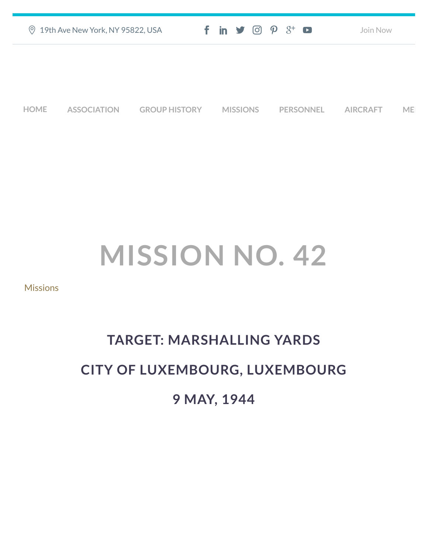|             | <b>9 19th Ave New York, NY 95822, USA</b> |                      |  |                 | $f$ in $\mathcal{I}$ $\odot$ $\mathcal{P}$ $\mathcal{S}^+$ $\bullet$ |  |                  | Join Now        |    |
|-------------|-------------------------------------------|----------------------|--|-----------------|----------------------------------------------------------------------|--|------------------|-----------------|----|
|             |                                           |                      |  |                 |                                                                      |  |                  |                 |    |
|             |                                           |                      |  |                 |                                                                      |  |                  |                 |    |
| <b>HOME</b> | <b>ASSOCIATION</b>                        | <b>GROUP HISTORY</b> |  | <b>MISSIONS</b> |                                                                      |  | <b>PERSONNEL</b> | <b>AIRCRAFT</b> | ME |

## **MISSION NO. 42**

[Missions](https://457thbombgroupassoc.org/category/missions/)

## **TARGET: MARSHALLING YARDS CITY OF LUXEMBOURG, LUXEMBOURG 9 MAY, 1944**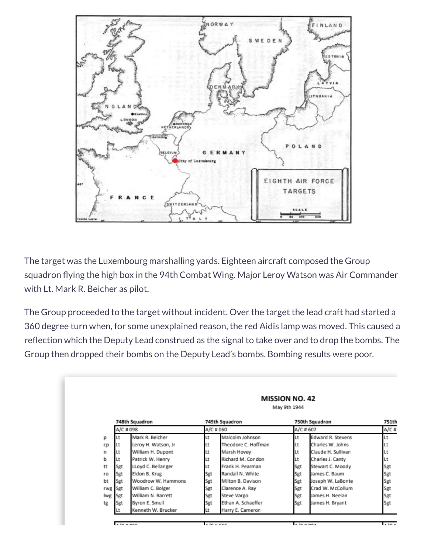

The target was the Luxembourg marshalling yards. Eighteen aircraft composed the Group squadron flying the high box in the 94th Combat Wing. Major Leroy Watson was Air Commander with Lt. Mark R. Beicher as pilot.

The Group proceeded to the target without incident. Over the target the lead craft had started a 360 degree turn when, for some unexplained reason, the red Aidis lamp was moved. This caused a reflection which the Deputy Lead construed as the signal to take over and to drop the bombs. The Group then dropped their bombs on the Deputy Lead's bombs. Bombing results were poor.

|     | <b>MISSION NO. 42</b><br>May 9th 1944 |                     |     |                     |           |                    |       |  |
|-----|---------------------------------------|---------------------|-----|---------------------|-----------|--------------------|-------|--|
|     | 748th Squadron<br>A/C # 098           |                     |     | 749th Squadron      |           | 750th Squadron     | 751th |  |
|     |                                       |                     |     | A/C # 060           | A/C # 607 | $A/C$ #            |       |  |
| р   | Lt                                    | Mark R. Belcher     | Lt  | Malcolm Johnson     | Lt        | Edward R. Stevens  | Lt    |  |
| cp  | Lt                                    | Leroy H. Watson, Jr | Lt  | Theodore C. Hoffman | Lt        | Charles W. Johns   | Lt    |  |
| n   | Lt                                    | William H. Dupont   | Lt  | Marsh Hovey         | Lt        | Claude H. Sullivan | Lt    |  |
| ь   | Lt                                    | Patrick W. Henry    | Lt  | Richard M. Condon   | Lt        | Charles J. Canty   | Lt    |  |
| tt  | Sgt                                   | LLoyd C. Bellanger  | Lt  | Frank H. Pearman    | Sgt       | Stewart C. Moody   | Sgt   |  |
| ro  | Sgt                                   | Eldon B. Krug       | Sgt | Randall N. White    | Sgt       | James C. Baum      | Sgt   |  |
| bt  | Sgt                                   | Woodrow W. Hammons  | Sgt | Milton B. Davison   | Sgt       | Joseph W. LaBonte  | Sgt   |  |
| rwg | Sgt                                   | William C. Bolger   | Sgt | Clarence A. Ray     | Sgt       | Crad W. McCollum   | Sgt   |  |
| lwg | Sgt                                   | William N. Barrett  | Sgt | Steve Vargo         | Sgt       | James H. Neelan    | Sgt   |  |
| tg  | Sgt                                   | Byron E. Smull      | Sgt | Ethan A. Schaeffer  | Sgt       | James H. Bryant    | Sgt   |  |
|     |                                       | Kenneth W. Brucker  | Lt  | Harry E. Cameron    |           |                    |       |  |